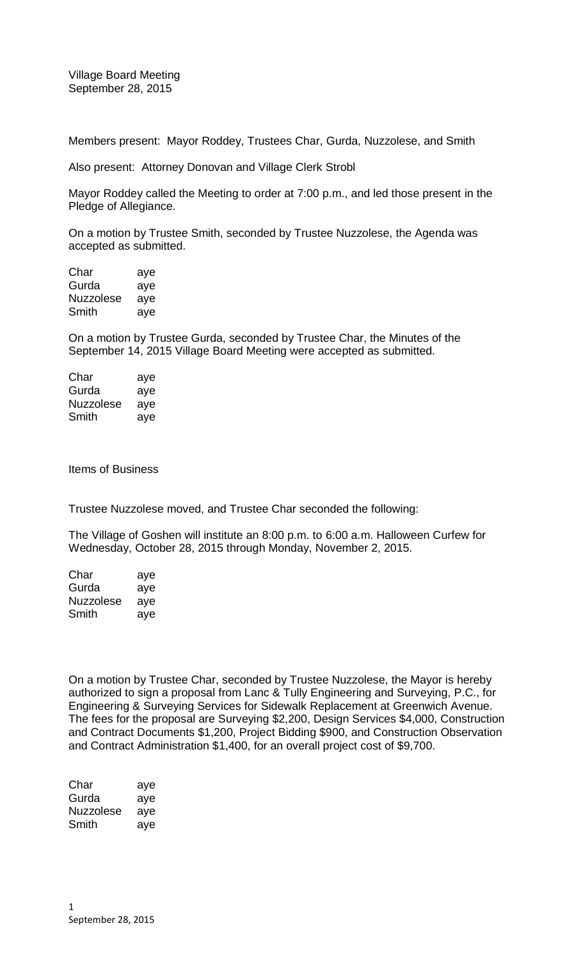Village Board Meeting September 28, 2015

Members present: Mayor Roddey, Trustees Char, Gurda, Nuzzolese, and Smith

Also present: Attorney Donovan and Village Clerk Strobl

Mayor Roddey called the Meeting to order at 7:00 p.m., and led those present in the Pledge of Allegiance.

On a motion by Trustee Smith, seconded by Trustee Nuzzolese, the Agenda was accepted as submitted.

Char aye Gurda aye Nuzzolese aye Smith aye

On a motion by Trustee Gurda, seconded by Trustee Char, the Minutes of the September 14, 2015 Village Board Meeting were accepted as submitted.

| Char      | aye |
|-----------|-----|
| Gurda     | aye |
| Nuzzolese | aye |
| Smith     | aye |

Items of Business

Trustee Nuzzolese moved, and Trustee Char seconded the following:

The Village of Goshen will institute an 8:00 p.m. to 6:00 a.m. Halloween Curfew for Wednesday, October 28, 2015 through Monday, November 2, 2015.

| Char      | aye |
|-----------|-----|
| Gurda     | aye |
| Nuzzolese | aye |
| Smith     | aye |

On a motion by Trustee Char, seconded by Trustee Nuzzolese, the Mayor is hereby authorized to sign a proposal from Lanc & Tully Engineering and Surveying, P.C., for Engineering & Surveying Services for Sidewalk Replacement at Greenwich Avenue. The fees for the proposal are Surveying \$2,200, Design Services \$4,000, Construction and Contract Documents \$1,200, Project Bidding \$900, and Construction Observation and Contract Administration \$1,400, for an overall project cost of \$9,700.

| Char      | aye |
|-----------|-----|
| Gurda     | aye |
| Nuzzolese | aye |
| Smith     | aye |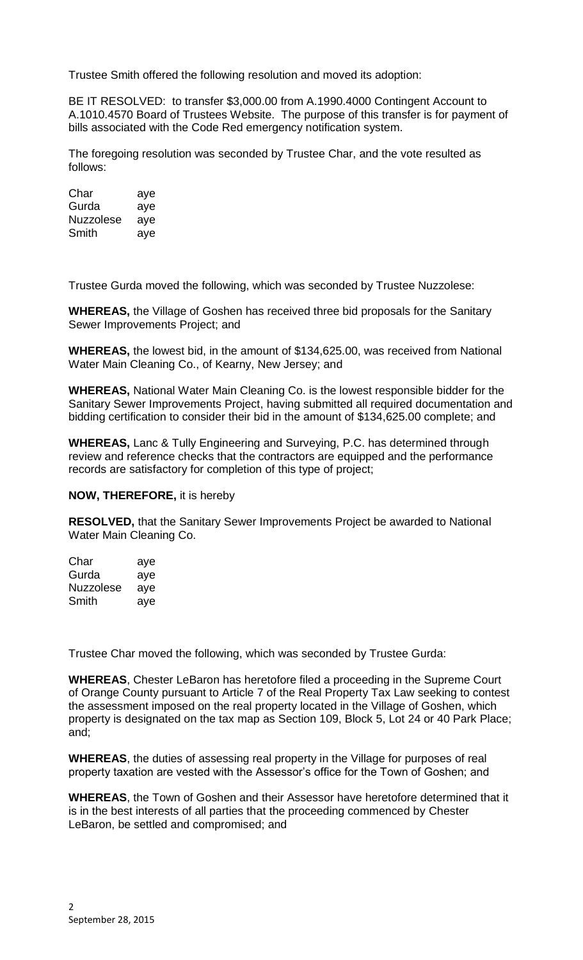Trustee Smith offered the following resolution and moved its adoption:

BE IT RESOLVED: to transfer \$3,000.00 from A.1990.4000 Contingent Account to A.1010.4570 Board of Trustees Website. The purpose of this transfer is for payment of bills associated with the Code Red emergency notification system.

The foregoing resolution was seconded by Trustee Char, and the vote resulted as follows:

| Char      | aye |
|-----------|-----|
| Gurda     | aye |
| Nuzzolese | aye |
| Smith     | aye |

Trustee Gurda moved the following, which was seconded by Trustee Nuzzolese:

**WHEREAS,** the Village of Goshen has received three bid proposals for the Sanitary Sewer Improvements Project; and

**WHEREAS,** the lowest bid, in the amount of \$134,625.00, was received from National Water Main Cleaning Co., of Kearny, New Jersey; and

**WHEREAS,** National Water Main Cleaning Co. is the lowest responsible bidder for the Sanitary Sewer Improvements Project, having submitted all required documentation and bidding certification to consider their bid in the amount of \$134,625.00 complete; and

**WHEREAS,** Lanc & Tully Engineering and Surveying, P.C. has determined through review and reference checks that the contractors are equipped and the performance records are satisfactory for completion of this type of project;

**NOW, THEREFORE,** it is hereby

**RESOLVED,** that the Sanitary Sewer Improvements Project be awarded to National Water Main Cleaning Co.

| Char             | aye |
|------------------|-----|
| Gurda            | aye |
| <b>Nuzzolese</b> | aye |
| Smith            | ave |

Trustee Char moved the following, which was seconded by Trustee Gurda:

**WHEREAS**, Chester LeBaron has heretofore filed a proceeding in the Supreme Court of Orange County pursuant to Article 7 of the Real Property Tax Law seeking to contest the assessment imposed on the real property located in the Village of Goshen, which property is designated on the tax map as Section 109, Block 5, Lot 24 or 40 Park Place; and;

**WHEREAS**, the duties of assessing real property in the Village for purposes of real property taxation are vested with the Assessor's office for the Town of Goshen; and

**WHEREAS**, the Town of Goshen and their Assessor have heretofore determined that it is in the best interests of all parties that the proceeding commenced by Chester LeBaron, be settled and compromised; and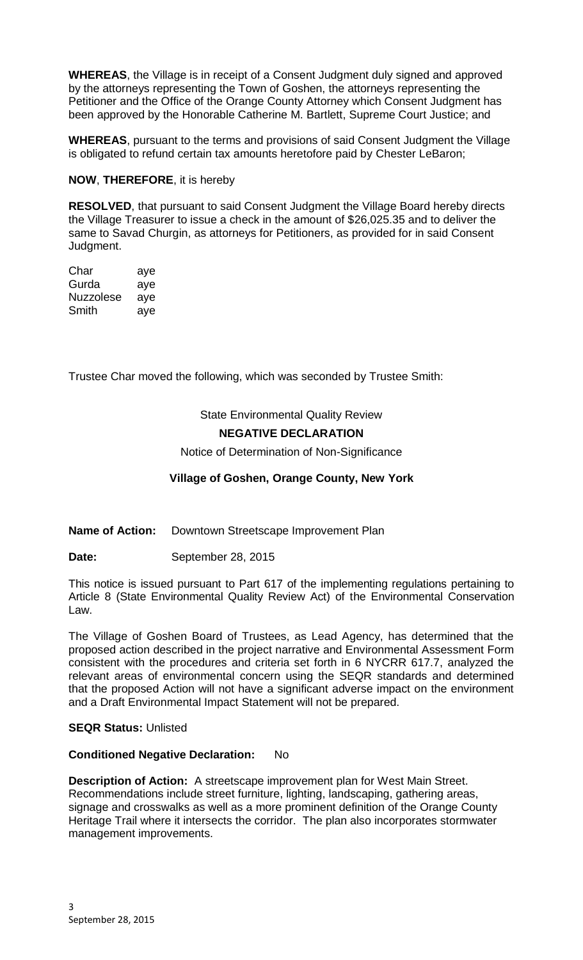**WHEREAS**, the Village is in receipt of a Consent Judgment duly signed and approved by the attorneys representing the Town of Goshen, the attorneys representing the Petitioner and the Office of the Orange County Attorney which Consent Judgment has been approved by the Honorable Catherine M. Bartlett, Supreme Court Justice; and

**WHEREAS**, pursuant to the terms and provisions of said Consent Judgment the Village is obligated to refund certain tax amounts heretofore paid by Chester LeBaron;

**NOW**, **THEREFORE**, it is hereby

**RESOLVED**, that pursuant to said Consent Judgment the Village Board hereby directs the Village Treasurer to issue a check in the amount of \$26,025.35 and to deliver the same to Savad Churgin, as attorneys for Petitioners, as provided for in said Consent Judgment.

Char aye Gurda aye Nuzzolese aye Smith aye

Trustee Char moved the following, which was seconded by Trustee Smith:

State Environmental Quality Review

# **NEGATIVE DECLARATION**

Notice of Determination of Non-Significance

## **Village of Goshen, Orange County, New York**

**Name of Action:** Downtown Streetscape Improvement Plan

**Date: September 28, 2015** 

This notice is issued pursuant to Part 617 of the implementing regulations pertaining to Article 8 (State Environmental Quality Review Act) of the Environmental Conservation Law.

The Village of Goshen Board of Trustees, as Lead Agency, has determined that the proposed action described in the project narrative and Environmental Assessment Form consistent with the procedures and criteria set forth in 6 NYCRR 617.7, analyzed the relevant areas of environmental concern using the SEQR standards and determined that the proposed Action will not have a significant adverse impact on the environment and a Draft Environmental Impact Statement will not be prepared.

## **SEQR Status:** Unlisted

#### **Conditioned Negative Declaration:** No

**Description of Action:** A streetscape improvement plan for West Main Street. Recommendations include street furniture, lighting, landscaping, gathering areas, signage and crosswalks as well as a more prominent definition of the Orange County Heritage Trail where it intersects the corridor. The plan also incorporates stormwater management improvements.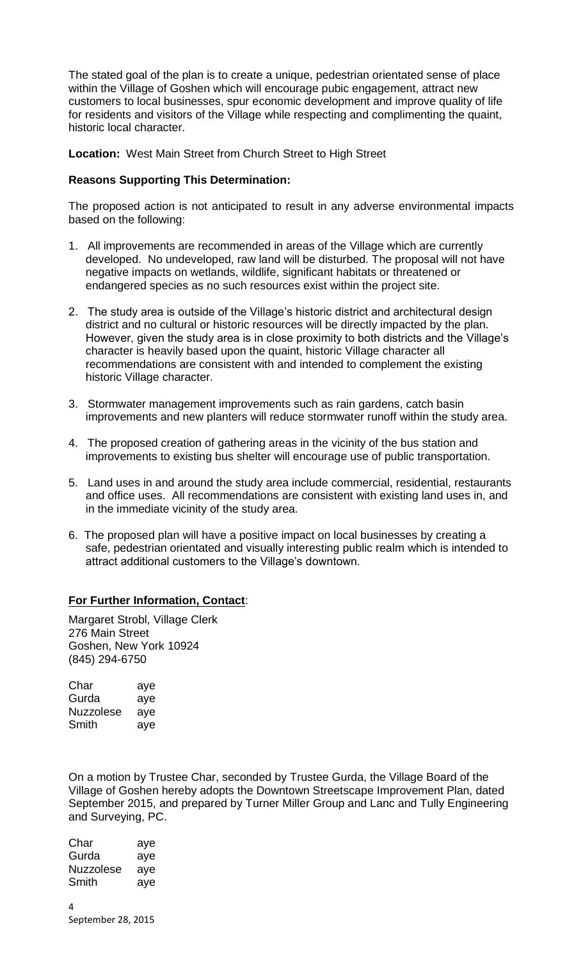The stated goal of the plan is to create a unique, pedestrian orientated sense of place within the Village of Goshen which will encourage pubic engagement, attract new customers to local businesses, spur economic development and improve quality of life for residents and visitors of the Village while respecting and complimenting the quaint, historic local character.

**Location:** West Main Street from Church Street to High Street

## **Reasons Supporting This Determination:**

The proposed action is not anticipated to result in any adverse environmental impacts based on the following:

- 1. All improvements are recommended in areas of the Village which are currently developed. No undeveloped, raw land will be disturbed. The proposal will not have negative impacts on wetlands, wildlife, significant habitats or threatened or endangered species as no such resources exist within the project site.
- 2. The study area is outside of the Village's historic district and architectural design district and no cultural or historic resources will be directly impacted by the plan. However, given the study area is in close proximity to both districts and the Village's character is heavily based upon the quaint, historic Village character all recommendations are consistent with and intended to complement the existing historic Village character.
- 3. Stormwater management improvements such as rain gardens, catch basin improvements and new planters will reduce stormwater runoff within the study area.
- 4. The proposed creation of gathering areas in the vicinity of the bus station and improvements to existing bus shelter will encourage use of public transportation.
- 5. Land uses in and around the study area include commercial, residential, restaurants and office uses. All recommendations are consistent with existing land uses in, and in the immediate vicinity of the study area.
- 6. The proposed plan will have a positive impact on local businesses by creating a safe, pedestrian orientated and visually interesting public realm which is intended to attract additional customers to the Village's downtown.

# **For Further Information, Contact**:

Margaret Strobl, Village Clerk 276 Main Street Goshen, New York 10924 (845) 294-6750

| Char      | aye |
|-----------|-----|
| Gurda     | aye |
| Nuzzolese | aye |
| Smith     | aye |

On a motion by Trustee Char, seconded by Trustee Gurda, the Village Board of the Village of Goshen hereby adopts the Downtown Streetscape Improvement Plan, dated September 2015, and prepared by Turner Miller Group and Lanc and Tully Engineering and Surveying, PC.

4 Char aye Gurda aye Nuzzolese aye Smith aye

September 28, 2015